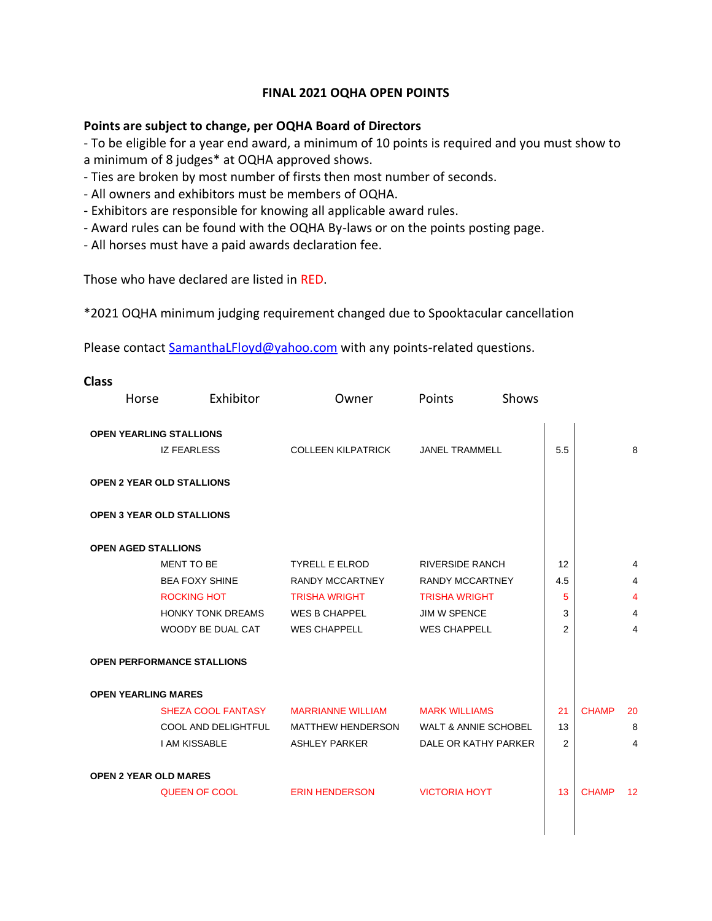## **FINAL 2021 OQHA OPEN POINTS**

## **Points are subject to change, per OQHA Board of Directors**

- To be eligible for a year end award, a minimum of 10 points is required and you must show to a minimum of 8 judges\* at OQHA approved shows.

- Ties are broken by most number of firsts then most number of seconds.
- All owners and exhibitors must be members of OQHA.
- Exhibitors are responsible for knowing all applicable award rules.
- Award rules can be found with the OQHA By-laws or on the points posting page.
- All horses must have a paid awards declaration fee.

Those who have declared are listed in RED.

\*2021 OQHA minimum judging requirement changed due to Spooktacular cancellation

Please contact [SamanthaLFloyd@yahoo.com](mailto:SamanthaLFloyd@yahoo.com) with any points-related questions.

| <b>Class</b>                 |                                   |                           |                                 |                |              |                 |
|------------------------------|-----------------------------------|---------------------------|---------------------------------|----------------|--------------|-----------------|
| Horse                        | Exhibitor                         | Owner                     | Shows<br>Points                 |                |              |                 |
|                              |                                   |                           |                                 |                |              |                 |
|                              | <b>OPEN YEARLING STALLIONS</b>    |                           |                                 |                |              |                 |
|                              | <b>IZ FEARLESS</b>                | <b>COLLEEN KILPATRICK</b> | <b>JANEL TRAMMELL</b>           | 5.5            |              | 8               |
|                              | <b>OPEN 2 YEAR OLD STALLIONS</b>  |                           |                                 |                |              |                 |
|                              | <b>OPEN 3 YEAR OLD STALLIONS</b>  |                           |                                 |                |              |                 |
| <b>OPEN AGED STALLIONS</b>   |                                   |                           |                                 |                |              |                 |
|                              | MENT TO BE                        | <b>TYRELL E ELROD</b>     | <b>RIVERSIDE RANCH</b>          | 12             |              | 4               |
|                              | <b>BEA FOXY SHINE</b>             | <b>RANDY MCCARTNEY</b>    | <b>RANDY MCCARTNEY</b>          | 4.5            |              | 4               |
|                              | <b>ROCKING HOT</b>                | <b>TRISHA WRIGHT</b>      | <b>TRISHA WRIGHT</b>            | 5              |              | 4               |
|                              | <b>HONKY TONK DREAMS</b>          | <b>WES B CHAPPEL</b>      | JIM W SPENCE                    | 3              |              | 4               |
|                              | WOODY BE DUAL CAT                 | <b>WES CHAPPELL</b>       | <b>WES CHAPPELL</b>             | $\overline{2}$ |              | 4               |
|                              | <b>OPEN PERFORMANCE STALLIONS</b> |                           |                                 |                |              |                 |
| <b>OPEN YEARLING MARES</b>   |                                   |                           |                                 |                |              |                 |
|                              | SHEZA COOL FANTASY                | <b>MARRIANNE WILLIAM</b>  | <b>MARK WILLIAMS</b>            | 21             | <b>CHAMP</b> | 20              |
|                              | COOL AND DELIGHTFUL               | <b>MATTHEW HENDERSON</b>  | <b>WALT &amp; ANNIE SCHOBEL</b> | 13             |              | 8               |
|                              | <b>I AM KISSABLE</b>              | <b>ASHLEY PARKER</b>      | DALE OR KATHY PARKER            | 2              |              | 4               |
| <b>OPEN 2 YEAR OLD MARES</b> |                                   |                           |                                 |                |              |                 |
|                              | <b>QUEEN OF COOL</b>              | <b>ERIN HENDERSON</b>     | <b>VICTORIA HOYT</b>            | 13             | <b>CHAMP</b> | 12 <sup>2</sup> |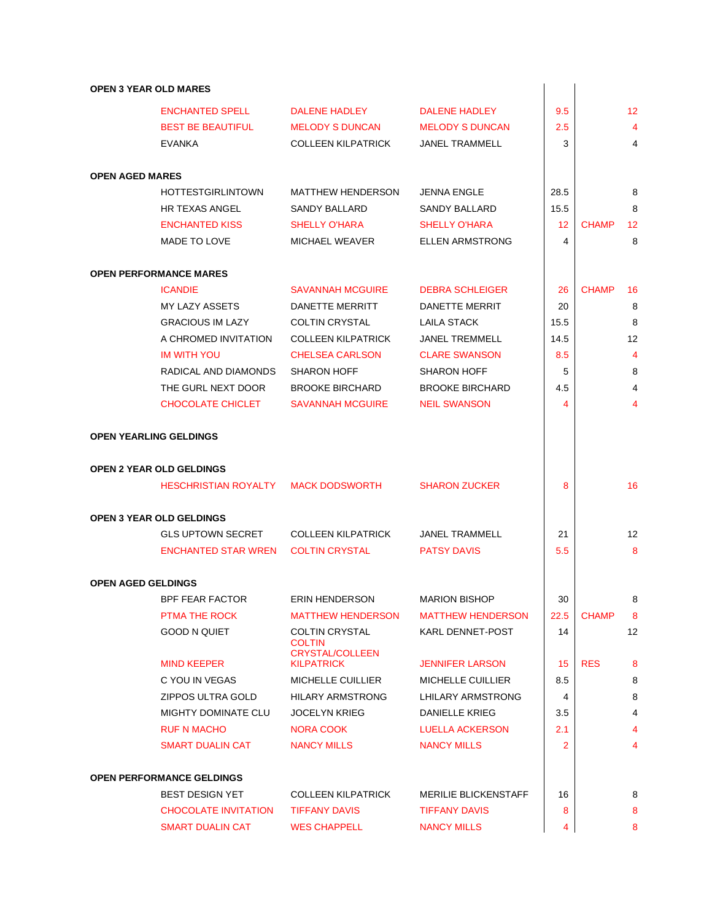## **OPEN 3 YEAR OLD MARES**

| <b>OPEN 3 YEAR OLD MARES</b>  |                                     |                                             |                             |                         |              |                   |
|-------------------------------|-------------------------------------|---------------------------------------------|-----------------------------|-------------------------|--------------|-------------------|
|                               | <b>ENCHANTED SPELL</b>              | <b>DALENE HADLEY</b>                        | <b>DALENE HADLEY</b>        | 9.5                     |              | $12 \overline{ }$ |
|                               | <b>BEST BE BEAUTIFUL</b>            | <b>MELODY S DUNCAN</b>                      | <b>MELODY S DUNCAN</b>      | 2.5                     |              | $\overline{4}$    |
|                               | EVANKA                              | <b>COLLEEN KILPATRICK</b>                   | <b>JANEL TRAMMELL</b>       | 3                       |              | 4                 |
| <b>OPEN AGED MARES</b>        |                                     |                                             |                             |                         |              |                   |
|                               | <b>HOTTESTGIRLINTOWN</b>            | <b>MATTHEW HENDERSON</b>                    | <b>JENNA ENGLE</b>          | 28.5                    |              | 8                 |
|                               | <b>HR TEXAS ANGEL</b>               | SANDY BALLARD                               | <b>SANDY BALLARD</b>        | 15.5                    |              | 8                 |
|                               | <b>ENCHANTED KISS</b>               | <b>SHELLY O'HARA</b>                        | <b>SHELLY O'HARA</b>        | 12                      | <b>CHAMP</b> | 12                |
|                               | MADE TO LOVE                        | MICHAEL WEAVER                              | <b>ELLEN ARMSTRONG</b>      | 4                       |              | 8                 |
|                               | <b>OPEN PERFORMANCE MARES</b>       |                                             |                             |                         |              |                   |
|                               | <b>ICANDIE</b>                      | <b>SAVANNAH MCGUIRE</b>                     | <b>DEBRA SCHLEIGER</b>      | 26                      | <b>CHAMP</b> | 16                |
|                               | MY LAZY ASSETS                      | DANETTE MERRITT                             | DANETTE MERRIT              | 20                      |              | 8                 |
|                               | <b>GRACIOUS IM LAZY</b>             | <b>COLTIN CRYSTAL</b>                       | <b>LAILA STACK</b>          | 15.5                    |              | 8                 |
|                               | A CHROMED INVITATION                | <b>COLLEEN KILPATRICK</b>                   | <b>JANEL TREMMELL</b>       | 14.5                    |              | 12                |
|                               | <b>IM WITH YOU</b>                  | <b>CHELSEA CARLSON</b>                      | <b>CLARE SWANSON</b>        | 8.5                     |              | $\overline{4}$    |
|                               | RADICAL AND DIAMONDS                | <b>SHARON HOFF</b>                          | <b>SHARON HOFF</b>          | 5                       |              | 8                 |
|                               | THE GURL NEXT DOOR                  | <b>BROOKE BIRCHARD</b>                      | <b>BROOKE BIRCHARD</b>      | 4.5                     |              | $\overline{4}$    |
|                               | <b>CHOCOLATE CHICLET</b>            | <b>SAVANNAH MCGUIRE</b>                     | <b>NEIL SWANSON</b>         | $\overline{\mathbf{4}}$ |              | $\overline{4}$    |
| <b>OPEN YEARLING GELDINGS</b> |                                     |                                             |                             |                         |              |                   |
|                               | <b>OPEN 2 YEAR OLD GELDINGS</b>     |                                             |                             |                         |              |                   |
|                               | HESCHRISTIAN ROYALTY MACK DODSWORTH |                                             | <b>SHARON ZUCKER</b>        | 8                       |              | 16                |
|                               | <b>OPEN 3 YEAR OLD GELDINGS</b>     |                                             |                             |                         |              |                   |
|                               | <b>GLS UPTOWN SECRET</b>            | <b>COLLEEN KILPATRICK</b>                   | <b>JANEL TRAMMELL</b>       | 21                      |              | $12 \overline{ }$ |
|                               | ENCHANTED STAR WREN                 | COLTIN CRYSTAL                              | <b>PATSY DAVIS</b>          | 5.5                     |              | 8                 |
| <b>OPEN AGED GELDINGS</b>     |                                     |                                             |                             |                         |              |                   |
|                               | <b>BPF FEAR FACTOR</b>              | ERIN HENDERSON                              | <b>MARION BISHOP</b>        | 30                      |              | 8                 |
|                               | PTMA THE ROCK                       | <b>MATTHEW HENDERSON</b>                    | <b>MATTHEW HENDERSON</b>    | 22.5                    | <b>CHAMP</b> | 8                 |
|                               | <b>GOOD N QUIET</b>                 | <b>COLTIN CRYSTAL</b><br><b>COLTIN</b>      | <b>KARL DENNET-POST</b>     | 14                      |              | 12                |
|                               | <b>MIND KEEPER</b>                  | <b>CRYSTAL/COLLEEN</b><br><b>KILPATRICK</b> | <b>JENNIFER LARSON</b>      | 15                      | <b>RES</b>   | 8                 |
|                               | C YOU IN VEGAS                      | <b>MICHELLE CUILLIER</b>                    | <b>MICHELLE CUILLIER</b>    | 8.5                     |              | 8                 |
|                               | ZIPPOS ULTRA GOLD                   | <b>HILARY ARMSTRONG</b>                     | LHILARY ARMSTRONG           | 4                       |              | 8                 |
|                               | <b>MIGHTY DOMINATE CLU</b>          | <b>JOCELYN KRIEG</b>                        | <b>DANIELLE KRIEG</b>       | 3.5                     |              | 4                 |
|                               | <b>RUF N MACHO</b>                  | <b>NORA COOK</b>                            | <b>LUELLA ACKERSON</b>      | 2.1                     |              | 4                 |
|                               | <b>SMART DUALIN CAT</b>             | <b>NANCY MILLS</b>                          | <b>NANCY MILLS</b>          | 2                       |              | 4                 |
|                               | <b>OPEN PERFORMANCE GELDINGS</b>    |                                             |                             |                         |              |                   |
|                               | <b>BEST DESIGN YET</b>              | <b>COLLEEN KILPATRICK</b>                   | <b>MERILIE BLICKENSTAFF</b> | 16                      |              | 8                 |
|                               | <b>CHOCOLATE INVITATION</b>         | <b>TIFFANY DAVIS</b>                        | <b>TIFFANY DAVIS</b>        | 8                       |              | 8                 |
|                               | <b>SMART DUALIN CAT</b>             | <b>WES CHAPPELL</b>                         | <b>NANCY MILLS</b>          | 4                       |              | 8                 |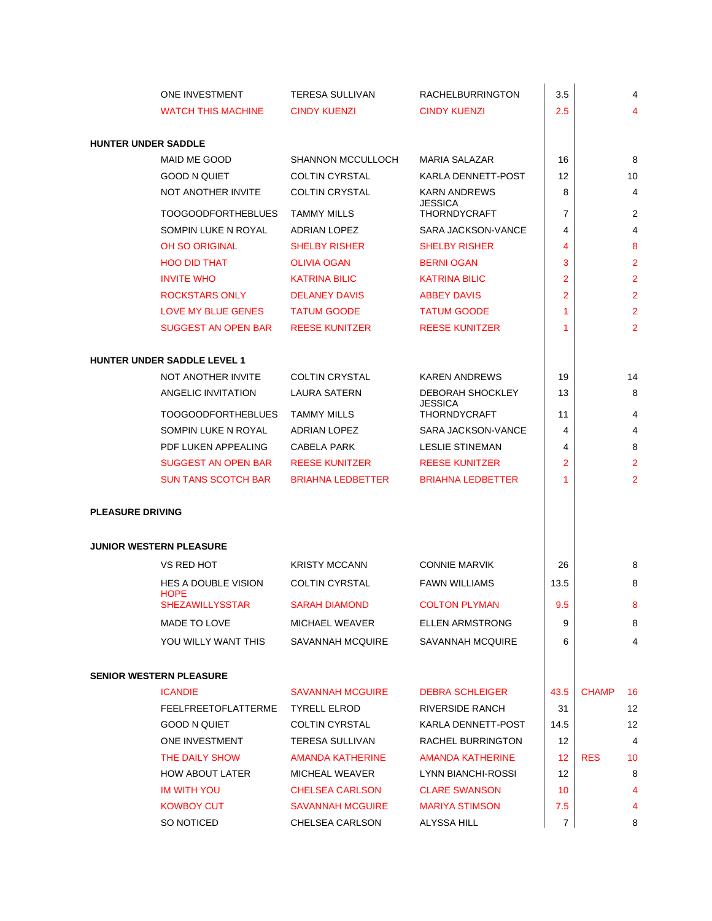|                            | <b>ONE INVESTMENT</b>                     | <b>TERESA SULLIVAN</b>   | <b>RACHELBURRINGTON</b>               | 3.5            | 4                  |
|----------------------------|-------------------------------------------|--------------------------|---------------------------------------|----------------|--------------------|
|                            | <b>WATCH THIS MACHINE</b>                 | <b>CINDY KUENZI</b>      | <b>CINDY KUENZI</b>                   | 2.5            | 4                  |
|                            |                                           |                          |                                       |                |                    |
| <b>HUNTER UNDER SADDLE</b> |                                           |                          |                                       |                |                    |
|                            | MAID ME GOOD                              | <b>SHANNON MCCULLOCH</b> | <b>MARIA SALAZAR</b>                  | 16             | 8                  |
|                            | <b>GOOD N QUIET</b>                       | <b>COLTIN CYRSTAL</b>    | KARLA DENNETT-POST                    | 12             | 10                 |
|                            | NOT ANOTHER INVITE                        | <b>COLTIN CRYSTAL</b>    | <b>KARN ANDREWS</b><br><b>JESSICA</b> | 8              | 4                  |
|                            | <b>TOOGOODFORTHEBLUES</b>                 | <b>TAMMY MILLS</b>       | <b>THORNDYCRAFT</b>                   | 7              | 2                  |
|                            | SOMPIN LUKE N ROYAL                       | <b>ADRIAN LOPEZ</b>      | SARA JACKSON-VANCE                    | 4              | 4                  |
|                            | <b>OH SO ORIGINAL</b>                     | <b>SHELBY RISHER</b>     | <b>SHELBY RISHER</b>                  | 4              | 8                  |
|                            | <b>HOO DID THAT</b>                       | <b>OLIVIA OGAN</b>       | <b>BERNI OGAN</b>                     | 3              | $\overline{2}$     |
|                            | <b>INVITE WHO</b>                         | <b>KATRINA BILIC</b>     | <b>KATRINA BILIC</b>                  | 2              | $\overline{2}$     |
|                            | <b>ROCKSTARS ONLY</b>                     | <b>DELANEY DAVIS</b>     | <b>ABBEY DAVIS</b>                    | 2              | $\overline{2}$     |
|                            | LOVE MY BLUE GENES                        | <b>TATUM GOODE</b>       | <b>TATUM GOODE</b>                    | 1              | $\overline{2}$     |
|                            | <b>SUGGEST AN OPEN BAR</b>                | <b>REESE KUNITZER</b>    | <b>REESE KUNITZER</b>                 | 1              | $\overline{2}$     |
|                            | <b>HUNTER UNDER SADDLE LEVEL 1</b>        |                          |                                       |                |                    |
|                            | NOT ANOTHER INVITE                        | <b>COLTIN CRYSTAL</b>    | <b>KAREN ANDREWS</b>                  | 19             | 14                 |
|                            | ANGELIC INVITATION                        | <b>LAURA SATERN</b>      | DEBORAH SHOCKLEY                      | 13             | 8                  |
|                            | <b>TOOGOODFORTHEBLUES</b>                 | <b>TAMMY MILLS</b>       | <b>JESSICA</b><br><b>THORNDYCRAFT</b> | 11             | 4                  |
|                            | SOMPIN LUKE N ROYAL                       | ADRIAN LOPEZ             | SARA JACKSON-VANCE                    | 4              | 4                  |
|                            | PDF LUKEN APPEALING                       | <b>CABELA PARK</b>       | <b>LESLIE STINEMAN</b>                | 4              | 8                  |
|                            | <b>SUGGEST AN OPEN BAR</b>                | <b>REESE KUNITZER</b>    | <b>REESE KUNITZER</b>                 | 2              | $\overline{2}$     |
|                            | <b>SUN TANS SCOTCH BAR</b>                | <b>BRIAHNA LEDBETTER</b> | <b>BRIAHNA LEDBETTER</b>              | 1              | $\overline{2}$     |
|                            |                                           |                          |                                       |                |                    |
| <b>PLEASURE DRIVING</b>    |                                           |                          |                                       |                |                    |
|                            | <b>JUNIOR WESTERN PLEASURE</b>            |                          |                                       |                |                    |
|                            | VS RED HOT                                | <b>KRISTY MCCANN</b>     | <b>CONNIE MARVIK</b>                  | 26             | 8                  |
|                            | <b>HES A DOUBLE VISION</b><br><b>HOPE</b> | <b>COLTIN CYRSTAL</b>    | <b>FAWN WILLIAMS</b>                  | 13.5           | 8                  |
|                            | <b>SHEZAWILLYSSTAR</b>                    | <b>SARAH DIAMOND</b>     | <b>COLTON PLYMAN</b>                  | 9.5            | 8                  |
|                            | MADE TO LOVE                              | MICHAEL WEAVER           | <b>ELLEN ARMSTRONG</b>                | 9              | 8                  |
|                            | YOU WILLY WANT THIS                       | SAVANNAH MCQUIRE         | SAVANNAH MCQUIRE                      | 6              | 4                  |
|                            | <b>SENIOR WESTERN PLEASURE</b>            |                          |                                       |                |                    |
|                            | <b>ICANDIE</b>                            | <b>SAVANNAH MCGUIRE</b>  | <b>DEBRA SCHLEIGER</b>                | 43.5           | <b>CHAMP</b><br>16 |
|                            | FEELFREETOFLATTERME                       | <b>TYRELL ELROD</b>      | <b>RIVERSIDE RANCH</b>                | 31             | 12                 |
|                            | GOOD N QUIET                              | <b>COLTIN CYRSTAL</b>    | KARLA DENNETT-POST                    | 14.5           | 12                 |
|                            | ONE INVESTMENT                            | TERESA SULLIVAN          | RACHEL BURRINGTON                     | 12             | 4                  |
|                            | THE DAILY SHOW                            | <b>AMANDA KATHERINE</b>  | <b>AMANDA KATHERINE</b>               | 12             | <b>RES</b><br>10   |
|                            | <b>HOW ABOUT LATER</b>                    | MICHEAL WEAVER           | LYNN BIANCHI-ROSSI                    | 12             | 8                  |
|                            | <b>IM WITH YOU</b>                        | <b>CHELSEA CARLSON</b>   | <b>CLARE SWANSON</b>                  | 10             | 4                  |
|                            | <b>KOWBOY CUT</b>                         | <b>SAVANNAH MCGUIRE</b>  | <b>MARIYA STIMSON</b>                 | 7.5            | 4                  |
|                            | SO NOTICED                                | CHELSEA CARLSON          | ALYSSA HILL                           | $\overline{7}$ | 8                  |
|                            |                                           |                          |                                       |                |                    |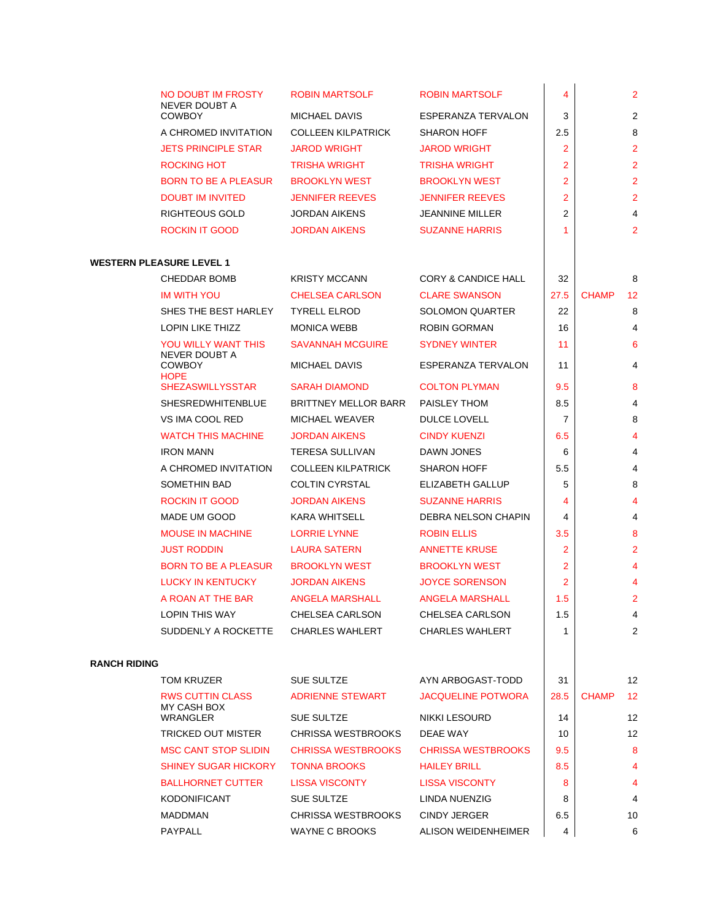|                     | NO DOUBT IM FROSTY                     | <b>ROBIN MARTSOLF</b>       | <b>ROBIN MARTSOLF</b>          | 4              | $\overline{2}$     |
|---------------------|----------------------------------------|-----------------------------|--------------------------------|----------------|--------------------|
|                     | <b>NEVER DOUBT A</b><br><b>COWBOY</b>  | <b>MICHAEL DAVIS</b>        | ESPERANZA TERVALON             | 3              | 2                  |
|                     | A CHROMED INVITATION                   | <b>COLLEEN KILPATRICK</b>   | <b>SHARON HOFF</b>             | 2.5            | 8                  |
|                     | <b>JETS PRINCIPLE STAR</b>             | <b>JAROD WRIGHT</b>         | <b>JAROD WRIGHT</b>            | $\overline{2}$ | $\overline{2}$     |
|                     | <b>ROCKING HOT</b>                     | <b>TRISHA WRIGHT</b>        | <b>TRISHA WRIGHT</b>           | $\overline{2}$ | $\overline{2}$     |
|                     | <b>BORN TO BE A PLEASUR</b>            | <b>BROOKLYN WEST</b>        | <b>BROOKLYN WEST</b>           | $\overline{2}$ | $\overline{2}$     |
|                     | <b>DOUBT IM INVITED</b>                | <b>JENNIFER REEVES</b>      | <b>JENNIFER REEVES</b>         | 2              | $\overline{2}$     |
|                     | RIGHTEOUS GOLD                         | <b>JORDAN AIKENS</b>        | <b>JEANNINE MILLER</b>         | $\overline{2}$ | 4                  |
|                     | <b>ROCKIN IT GOOD</b>                  | <b>JORDAN AIKENS</b>        | <b>SUZANNE HARRIS</b>          | 1              | $\overline{2}$     |
|                     | <b>WESTERN PLEASURE LEVEL 1</b>        |                             |                                |                |                    |
|                     | CHEDDAR BOMB                           | <b>KRISTY MCCANN</b>        | <b>CORY &amp; CANDICE HALL</b> | 32             | 8                  |
|                     | <b>IM WITH YOU</b>                     | <b>CHELSEA CARLSON</b>      | <b>CLARE SWANSON</b>           | 27.5           | <b>CHAMP</b><br>12 |
|                     | SHES THE BEST HARLEY                   | <b>TYRELL ELROD</b>         | <b>SOLOMON QUARTER</b>         | 22             | 8                  |
|                     | <b>LOPIN LIKE THIZZ</b>                | <b>MONICA WEBB</b>          | <b>ROBIN GORMAN</b>            | 16             | 4                  |
|                     | YOU WILLY WANT THIS                    | <b>SAVANNAH MCGUIRE</b>     | <b>SYDNEY WINTER</b>           | 11             | 6                  |
|                     | <b>NEVER DOUBT A</b><br><b>COWBOY</b>  | <b>MICHAEL DAVIS</b>        | ESPERANZA TERVALON             | 11             | 4                  |
|                     | <b>HOPE</b><br><b>SHEZASWILLYSSTAR</b> | <b>SARAH DIAMOND</b>        | <b>COLTON PLYMAN</b>           | 9.5            | 8                  |
|                     | <b>SHESREDWHITENBLUE</b>               | <b>BRITTNEY MELLOR BARR</b> | PAISLEY THOM                   | 8.5            | 4                  |
|                     | VS IMA COOL RED                        | <b>MICHAEL WEAVER</b>       | <b>DULCE LOVELL</b>            | $\overline{7}$ | 8                  |
|                     | <b>WATCH THIS MACHINE</b>              | <b>JORDAN AIKENS</b>        | <b>CINDY KUENZI</b>            | 6.5            | 4                  |
|                     | <b>IRON MANN</b>                       | <b>TERESA SULLIVAN</b>      | DAWN JONES                     | 6              | 4                  |
|                     | A CHROMED INVITATION                   | <b>COLLEEN KILPATRICK</b>   | <b>SHARON HOFF</b>             | 5.5            | 4                  |
|                     | SOMETHIN BAD                           | <b>COLTIN CYRSTAL</b>       | ELIZABETH GALLUP               | 5              | 8                  |
|                     | <b>ROCKIN IT GOOD</b>                  | <b>JORDAN AIKENS</b>        | <b>SUZANNE HARRIS</b>          | 4              | 4                  |
|                     | MADE UM GOOD                           | <b>KARA WHITSELL</b>        | DEBRA NELSON CHAPIN            | 4              | 4                  |
|                     | <b>MOUSE IN MACHINE</b>                | <b>LORRIE LYNNE</b>         | <b>ROBIN ELLIS</b>             | 3.5            | 8                  |
|                     | <b>JUST RODDIN</b>                     | <b>LAURA SATERN</b>         | <b>ANNETTE KRUSE</b>           | 2              | $\overline{2}$     |
|                     | <b>BORN TO BE A PLEASUR</b>            | <b>BROOKLYN WEST</b>        | <b>BROOKLYN WEST</b>           | $\overline{2}$ | 4                  |
|                     | <b>LUCKY IN KENTUCKY</b>               | <b>JORDAN AIKENS</b>        | <b>JOYCE SORENSON</b>          | $\overline{2}$ | 4                  |
|                     | A ROAN AT THE BAR                      | <b>ANGELA MARSHALL</b>      | <b>ANGELA MARSHALL</b>         | 1.5            | $\overline{2}$     |
|                     | <b>LOPIN THIS WAY</b>                  | CHELSEA CARLSON             | <b>CHELSEA CARLSON</b>         | 1.5            | 4                  |
|                     | SUDDENLY A ROCKETTE                    | <b>CHARLES WAHLERT</b>      | <b>CHARLES WAHLERT</b>         | 1              | 2                  |
| <b>RANCH RIDING</b> |                                        |                             |                                |                |                    |
|                     | TOM KRUZER                             | <b>SUE SULTZE</b>           | AYN ARBOGAST-TODD              | 31             | 12                 |
|                     | <b>RWS CUTTIN CLASS</b><br>MY CASH BOX | <b>ADRIENNE STEWART</b>     | <b>JACQUELINE POTWORA</b>      | 28.5           | <b>CHAMP</b><br>12 |
|                     | WRANGLER                               | <b>SUE SULTZE</b>           | <b>NIKKI LESOURD</b>           | 14             | 12                 |
|                     | TRICKED OUT MISTER                     | <b>CHRISSA WESTBROOKS</b>   | DEAE WAY                       | 10             | 12                 |
|                     | <b>MSC CANT STOP SLIDIN</b>            | <b>CHRISSA WESTBROOKS</b>   | <b>CHRISSA WESTBROOKS</b>      | 9.5            | 8                  |
|                     | <b>SHINEY SUGAR HICKORY</b>            | <b>TONNA BROOKS</b>         | <b>HAILEY BRILL</b>            | 8.5            | 4                  |
|                     | <b>BALLHORNET CUTTER</b>               | <b>LISSA VISCONTY</b>       | <b>LISSA VISCONTY</b>          | 8              | 4                  |
|                     | <b>KODONIFICANT</b>                    | <b>SUE SULTZE</b>           | LINDA NUENZIG                  | 8              | 4                  |
|                     | <b>MADDMAN</b>                         | <b>CHRISSA WESTBROOKS</b>   | <b>CINDY JERGER</b>            | 6.5            | 10                 |
|                     | PAYPALL                                | <b>WAYNE C BROOKS</b>       | ALISON WEIDENHEIMER            | 4              | 6                  |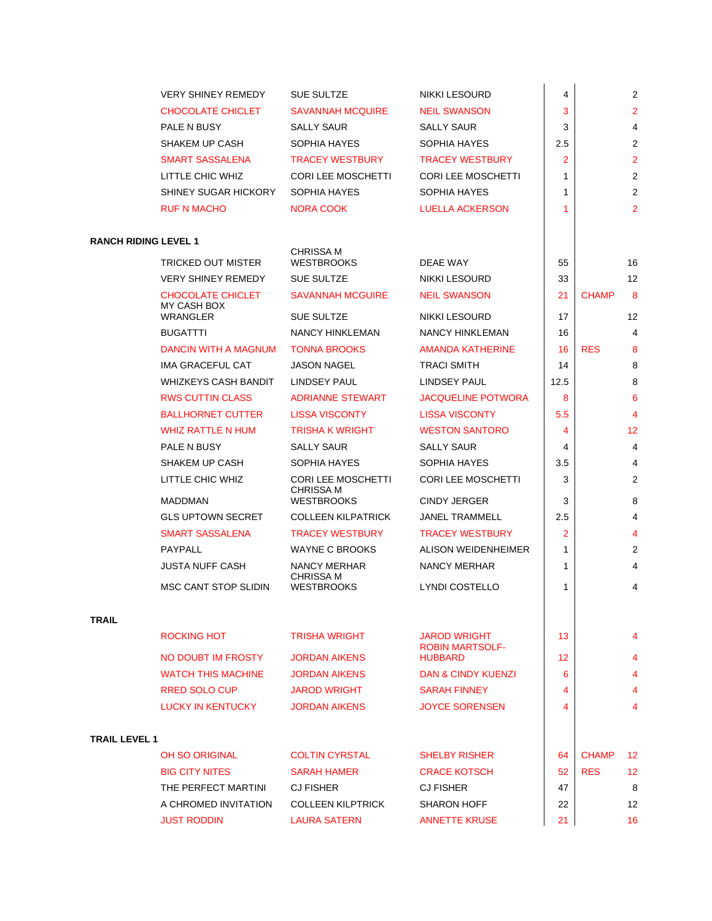|                             | <b>VERY SHINEY REMEDY</b>          | SUE SULTZE                                                         | <b>NIKKI LESOURD</b>                             | 4              |              | $\overline{c}$          |
|-----------------------------|------------------------------------|--------------------------------------------------------------------|--------------------------------------------------|----------------|--------------|-------------------------|
|                             | CHOCOLATE CHICLET                  | <b>SAVANNAH MCQUIRE</b>                                            | <b>NEIL SWANSON</b>                              | 3              |              | $\overline{2}$          |
|                             | PALE N BUSY                        | <b>SALLY SAUR</b>                                                  | <b>SALLY SAUR</b>                                | 3              |              | 4                       |
|                             | <b>SHAKEM UP CASH</b>              | SOPHIA HAYES                                                       | SOPHIA HAYES                                     | 2.5            |              | $\overline{\mathbf{c}}$ |
|                             | <b>SMART SASSALENA</b>             | <b>TRACEY WESTBURY</b>                                             | <b>TRACEY WESTBURY</b>                           | $\overline{2}$ |              | $\overline{2}$          |
|                             | LITTLE CHIC WHIZ                   | <b>CORI LEE MOSCHETTI</b>                                          | <b>CORI LEE MOSCHETTI</b>                        | 1              |              | $\overline{c}$          |
|                             | <b>SHINEY SUGAR HICKORY</b>        | SOPHIA HAYES                                                       | SOPHIA HAYES                                     | 1              |              | $\overline{c}$          |
|                             | <b>RUF N MACHO</b>                 | NORA COOK                                                          | LUELLA ACKERSON                                  | 1              |              | $\overline{2}$          |
|                             |                                    |                                                                    |                                                  |                |              |                         |
| <b>RANCH RIDING LEVEL 1</b> |                                    |                                                                    |                                                  |                |              |                         |
|                             | TRICKED OUT MISTER                 | <b>CHRISSA M</b><br><b>WESTBROOKS</b>                              | DEAE WAY                                         | 55             |              | 16                      |
|                             | <b>VERY SHINEY REMEDY</b>          | SUE SULTZE                                                         | NIKKI LESOURD                                    | 33             |              | 12                      |
|                             | CHOCOLATE CHICLET                  | <b>SAVANNAH MCGUIRE</b>                                            | <b>NEIL SWANSON</b>                              | 21             | <b>CHAMP</b> | 8                       |
|                             | MY CASH BOX                        |                                                                    |                                                  |                |              |                         |
|                             | <b>WRANGLER</b>                    | <b>SUE SULTZE</b>                                                  | <b>NIKKI LESOURD</b>                             | 17             |              | 12                      |
|                             | <b>BUGATTTI</b>                    | <b>NANCY HINKLEMAN</b>                                             | NANCY HINKLEMAN<br><b>AMANDA KATHERINE</b>       | 16             |              | 4                       |
|                             | DANCIN WITH A MAGNUM               | <b>TONNA BROOKS</b>                                                |                                                  | 16             | <b>RES</b>   | 8                       |
|                             | IMA GRACEFUL CAT                   | <b>JASON NAGEL</b>                                                 | <b>TRACI SMITH</b>                               | 14             |              | 8                       |
|                             | <b>WHIZKEYS CASH BANDIT</b>        | LINDSEY PAUL                                                       | <b>LINDSEY PAUL</b>                              | 12.5           |              | 8                       |
|                             | <b>RWS CUTTIN CLASS</b>            | <b>ADRIANNE STEWART</b>                                            | <b>JACQUELINE POTWORA</b>                        | 8              |              | 6                       |
|                             | <b>BALLHORNET CUTTER</b>           | <b>LISSA VISCONTY</b>                                              | <b>LISSA VISCONTY</b>                            | 5.5            |              | 4                       |
|                             | <b>WHIZ RATTLE N HUM</b>           | <b>TRISHA K WRIGHT</b>                                             | <b>WESTON SANTORO</b>                            | 4              |              | 12                      |
|                             | PALE N BUSY                        | <b>SALLY SAUR</b>                                                  | <b>SALLY SAUR</b>                                | 4              |              | 4                       |
|                             | <b>SHAKEM UP CASH</b>              | SOPHIA HAYES                                                       | SOPHIA HAYES                                     | 3.5            |              | 4                       |
|                             | LITTLE CHIC WHIZ<br><b>MADDMAN</b> | <b>CORI LEE MOSCHETTI</b><br><b>CHRISSA M</b><br><b>WESTBROOKS</b> | <b>CORI LEE MOSCHETTI</b><br><b>CINDY JERGER</b> | 3<br>3         |              | $\overline{2}$<br>8     |
|                             | <b>GLS UPTOWN SECRET</b>           | <b>COLLEEN KILPATRICK</b>                                          | <b>JANEL TRAMMELL</b>                            | 2.5            |              | 4                       |
|                             | <b>SMART SASSALENA</b>             | <b>TRACEY WESTBURY</b>                                             | <b>TRACEY WESTBURY</b>                           | 2              |              | 4                       |
|                             | PAYPALL                            | <b>WAYNE C BROOKS</b>                                              | <b>ALISON WEIDENHEIMER</b>                       | 1              |              | $\overline{c}$          |
|                             | <b>JUSTA NUFF CASH</b>             | <b>NANCY MERHAR</b>                                                | <b>NANCY MERHAR</b>                              | 1              |              | 4                       |
|                             |                                    | <b>CHRISSA M</b>                                                   |                                                  |                |              |                         |
|                             | MSC CANT STOP SLIDIN               | <b>WESTBROOKS</b>                                                  | <b>LYNDI COSTELLO</b>                            | 1              |              | 4                       |
|                             |                                    |                                                                    |                                                  |                |              |                         |
| <b>TRAIL</b>                |                                    |                                                                    |                                                  |                |              |                         |
|                             | <b>ROCKING HOT</b>                 | <b>TRISHA WRIGHT</b>                                               | <b>JAROD WRIGHT</b><br><b>ROBIN MARTSOLF-</b>    | 13             |              | 4                       |
|                             | NO DOUBT IM FROSTY                 | <b>JORDAN AIKENS</b>                                               | <b>HUBBARD</b>                                   | 12             |              | 4                       |
|                             | <b>WATCH THIS MACHINE</b>          | <b>JORDAN AIKENS</b>                                               | <b>DAN &amp; CINDY KUENZI</b>                    | 6              |              | 4                       |
|                             | <b>RRED SOLO CUP</b>               | <b>JAROD WRIGHT</b>                                                | <b>SARAH FINNEY</b>                              | 4              |              | 4                       |
|                             | <b>LUCKY IN KENTUCKY</b>           | <b>JORDAN AIKENS</b>                                               | <b>JOYCE SORENSEN</b>                            | 4              |              | 4                       |
|                             |                                    |                                                                    |                                                  |                |              |                         |
| <b>TRAIL LEVEL 1</b>        |                                    |                                                                    |                                                  |                |              |                         |
|                             | <b>OH SO ORIGINAL</b>              | <b>COLTIN CYRSTAL</b>                                              | <b>SHELBY RISHER</b>                             | 64             | <b>CHAMP</b> | 12                      |
|                             | <b>BIG CITY NITES</b>              | <b>SARAH HAMER</b>                                                 | <b>CRACE KOTSCH</b>                              | 52             | <b>RES</b>   | 12                      |
|                             | THE PERFECT MARTINI                | <b>CJ FISHER</b>                                                   | <b>CJ FISHER</b>                                 | 47             |              | 8                       |
|                             | A CHROMED INVITATION               | <b>COLLEEN KILPTRICK</b>                                           | <b>SHARON HOFF</b>                               | 22             |              | 12                      |
|                             | <b>JUST RODDIN</b>                 | <b>LAURA SATERN</b>                                                | <b>ANNETTE KRUSE</b>                             | 21             |              | 16                      |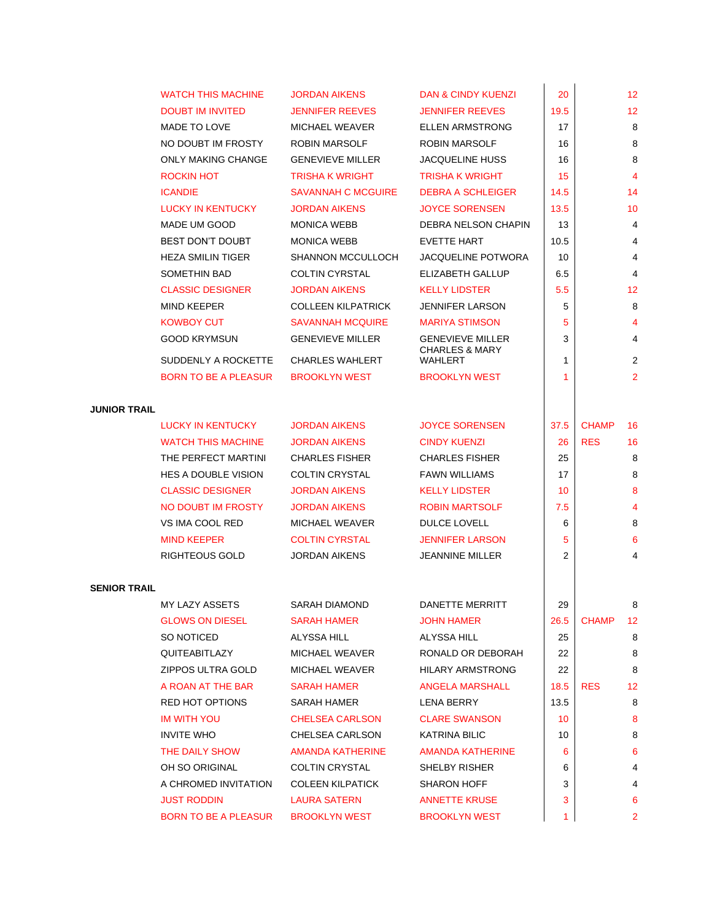|                     | <b>WATCH THIS MACHINE</b>   | <b>JORDAN AIKENS</b>      | DAN & CINDY KUENZI                          | 20           |              | 12                      |
|---------------------|-----------------------------|---------------------------|---------------------------------------------|--------------|--------------|-------------------------|
|                     | <b>DOUBT IM INVITED</b>     | <b>JENNIFER REEVES</b>    | <b>JENNIFER REEVES</b>                      | 19.5         |              | 12                      |
|                     | MADE TO LOVE                | <b>MICHAEL WEAVER</b>     | <b>ELLEN ARMSTRONG</b>                      | 17           |              | 8                       |
|                     | NO DOUBT IM FROSTY          | ROBIN MARSOLF             | ROBIN MARSOLF                               | 16           |              | 8                       |
|                     | <b>ONLY MAKING CHANGE</b>   | <b>GENEVIEVE MILLER</b>   | <b>JACQUELINE HUSS</b>                      | 16           |              | 8                       |
|                     | <b>ROCKIN HOT</b>           | <b>TRISHA K WRIGHT</b>    | <b>TRISHA K WRIGHT</b>                      | 15           |              | $\overline{\mathbf{4}}$ |
|                     | <b>ICANDIE</b>              | <b>SAVANNAH C MCGUIRE</b> | <b>DEBRA A SCHLEIGER</b>                    | 14.5         |              | 14                      |
|                     | <b>LUCKY IN KENTUCKY</b>    | <b>JORDAN AIKENS</b>      | <b>JOYCE SORENSEN</b>                       | 13.5         |              | 10                      |
|                     | MADE UM GOOD                | <b>MONICA WEBB</b>        | DEBRA NELSON CHAPIN                         | 13           |              | 4                       |
|                     | <b>BEST DON'T DOUBT</b>     | <b>MONICA WEBB</b>        | EVETTE HART                                 | 10.5         |              | 4                       |
|                     | <b>HEZA SMILIN TIGER</b>    | <b>SHANNON MCCULLOCH</b>  | JACQUELINE POTWORA                          | 10           |              | 4                       |
|                     | SOMETHIN BAD                | <b>COLTIN CYRSTAL</b>     | <b>ELIZABETH GALLUP</b>                     | 6.5          |              | 4                       |
|                     | <b>CLASSIC DESIGNER</b>     | <b>JORDAN AIKENS</b>      | <b>KELLY LIDSTER</b>                        | 5.5          |              | 12                      |
|                     | <b>MIND KEEPER</b>          | <b>COLLEEN KILPATRICK</b> | JENNIFER LARSON                             | 5            |              | 8                       |
|                     | <b>KOWBOY CUT</b>           | <b>SAVANNAH MCQUIRE</b>   | MARIYA STIMSON                              | 5            |              | 4                       |
|                     | <b>GOOD KRYMSUN</b>         | <b>GENEVIEVE MILLER</b>   | <b>GENEVIEVE MILLER</b>                     | 3            |              | 4                       |
|                     | SUDDENLY A ROCKETTE         | <b>CHARLES WAHLERT</b>    | <b>CHARLES &amp; MARY</b><br><b>WAHLERT</b> | 1            |              | 2                       |
|                     | <b>BORN TO BE A PLEASUR</b> | <b>BROOKLYN WEST</b>      | <b>BROOKLYN WEST</b>                        | 1            |              | 2                       |
|                     |                             |                           |                                             |              |              |                         |
| <b>JUNIOR TRAIL</b> |                             |                           |                                             |              |              |                         |
|                     | <b>LUCKY IN KENTUCKY</b>    | <b>JORDAN AIKENS</b>      | <b>JOYCE SORENSEN</b>                       | 37.5         | <b>CHAMP</b> | 16                      |
|                     | <b>WATCH THIS MACHINE</b>   | <b>JORDAN AIKENS</b>      | <b>CINDY KUENZI</b>                         | 26           | <b>RES</b>   | 16                      |
|                     | THE PERFECT MARTINI         | <b>CHARLES FISHER</b>     | <b>CHARLES FISHER</b>                       | 25           |              | 8                       |
|                     | <b>HES A DOUBLE VISION</b>  | <b>COLTIN CRYSTAL</b>     | <b>FAWN WILLIAMS</b>                        | 17           |              | 8                       |
|                     | <b>CLASSIC DESIGNER</b>     | <b>JORDAN AIKENS</b>      | <b>KELLY LIDSTER</b>                        | 10           |              | 8                       |
|                     | NO DOUBT IM FROSTY          | <b>JORDAN AIKENS</b>      | <b>ROBIN MARTSOLF</b>                       | 7.5          |              | 4                       |
|                     | VS IMA COOL RED             | <b>MICHAEL WEAVER</b>     | DULCE LOVELL                                | 6            |              | 8                       |
|                     | <b>MIND KEEPER</b>          | <b>COLTIN CYRSTAL</b>     | <b>JENNIFER LARSON</b>                      | 5            |              | 6                       |
|                     | RIGHTEOUS GOLD              | <b>JORDAN AIKENS</b>      | JEANNINE MILLER                             | 2            |              | 4                       |
|                     |                             |                           |                                             |              |              |                         |
| <b>SENIOR TRAIL</b> |                             |                           |                                             |              |              |                         |
|                     | MY LAZY ASSETS              | SARAH DIAMOND             | <b>DANETTE MERRITT</b>                      | 29           |              | 8                       |
|                     | <b>GLOWS ON DIESEL</b>      | <b>SARAH HAMER</b>        | <b>JOHN HAMER</b>                           | 26.5         | <b>CHAMP</b> | 12                      |
|                     | SO NOTICED                  | ALYSSA HILL               | ALYSSA HILL                                 | 25           |              | 8                       |
|                     | QUITEABITLAZY               | <b>MICHAEL WEAVER</b>     | RONALD OR DEBORAH                           | 22           |              | 8                       |
|                     | ZIPPOS ULTRA GOLD           | MICHAEL WEAVER            | <b>HILARY ARMSTRONG</b>                     | 22           |              | 8                       |
|                     | A ROAN AT THE BAR           | <b>SARAH HAMER</b>        | <b>ANGELA MARSHALL</b>                      | 18.5         | <b>RES</b>   | 12                      |
|                     | RED HOT OPTIONS             | SARAH HAMER               | LENA BERRY                                  | 13.5         |              | 8                       |
|                     | <b>IM WITH YOU</b>          | <b>CHELSEA CARLSON</b>    | <b>CLARE SWANSON</b>                        | 10           |              | 8                       |
|                     | <b>INVITE WHO</b>           | CHELSEA CARLSON           | <b>KATRINA BILIC</b>                        | 10           |              | 8                       |
|                     | THE DAILY SHOW              | <b>AMANDA KATHERINE</b>   | AMANDA KATHERINE                            | 6            |              | 6                       |
|                     | OH SO ORIGINAL              | <b>COLTIN CRYSTAL</b>     | SHELBY RISHER                               | 6            |              | 4                       |
|                     | A CHROMED INVITATION        | <b>COLEEN KILPATICK</b>   | <b>SHARON HOFF</b>                          | 3            |              | 4                       |
|                     | <b>JUST RODDIN</b>          | <b>LAURA SATERN</b>       | <b>ANNETTE KRUSE</b>                        | 3            |              | 6                       |
|                     | <b>BORN TO BE A PLEASUR</b> | <b>BROOKLYN WEST</b>      | <b>BROOKLYN WEST</b>                        | $\mathbf{1}$ |              | $\overline{2}$          |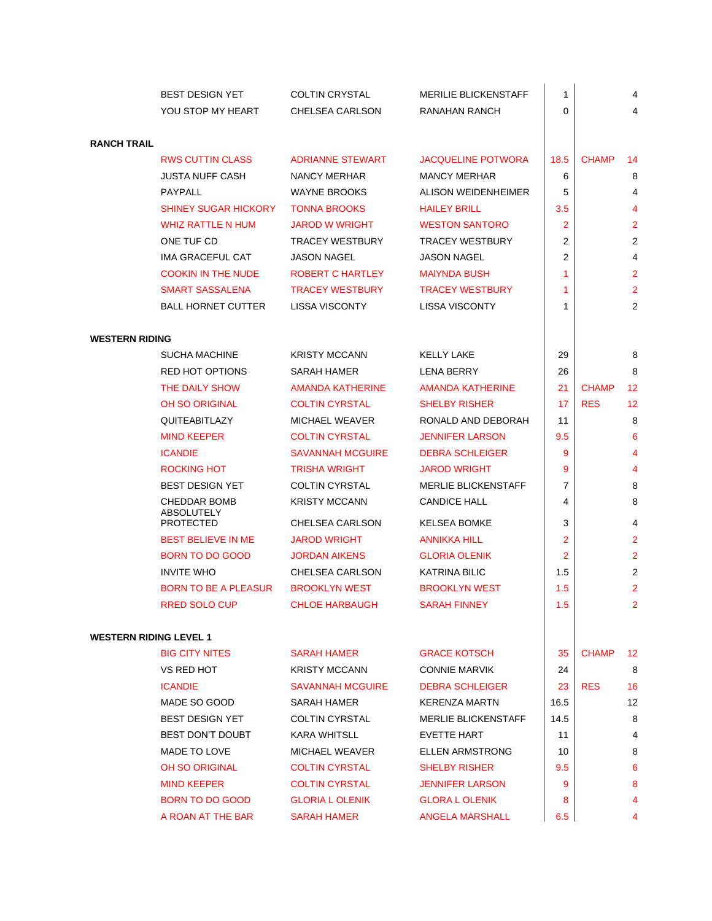|                               | <b>BEST DESIGN YET</b>                   | <b>COLTIN CRYSTAL</b>                            | <b>MERILIE BLICKENSTAFF</b>              | 1              |              | 4              |
|-------------------------------|------------------------------------------|--------------------------------------------------|------------------------------------------|----------------|--------------|----------------|
|                               | YOU STOP MY HEART                        | CHELSEA CARLSON                                  | RANAHAN RANCH                            | 0              |              | 4              |
|                               |                                          |                                                  |                                          |                |              |                |
| <b>RANCH TRAIL</b>            |                                          |                                                  |                                          |                |              |                |
|                               | <b>RWS CUTTIN CLASS</b>                  | <b>ADRIANNE STEWART</b>                          | <b>JACQUELINE POTWORA</b>                | 18.5           | <b>CHAMP</b> | 14             |
|                               | <b>JUSTA NUFF CASH</b>                   | NANCY MERHAR                                     | <b>MANCY MERHAR</b>                      | 6              |              | 8              |
|                               | <b>PAYPALL</b>                           | <b>WAYNE BROOKS</b>                              | ALISON WEIDENHEIMER                      | 5              |              | 4              |
|                               | <b>SHINEY SUGAR HICKORY</b>              | <b>TONNA BROOKS</b>                              | <b>HAILEY BRILL</b>                      | 3.5            |              | 4              |
|                               | <b>WHIZ RATTLE N HUM</b>                 | <b>JAROD W WRIGHT</b>                            | <b>WESTON SANTORO</b>                    | 2              |              | $\overline{2}$ |
|                               | ONE TUF CD                               | <b>TRACEY WESTBURY</b>                           | <b>TRACEY WESTBURY</b>                   | 2              |              | 2              |
|                               | IMA GRACEFUL CAT                         | <b>JASON NAGEL</b>                               | <b>JASON NAGEL</b>                       | 2              |              | 4              |
|                               | <b>COOKIN IN THE NUDE</b>                | <b>ROBERT C HARTLEY</b>                          | <b>MAIYNDA BUSH</b>                      | 1              |              | $\overline{2}$ |
|                               | <b>SMART SASSALENA</b>                   | <b>TRACEY WESTBURY</b>                           | <b>TRACEY WESTBURY</b>                   | 1              |              | $\overline{2}$ |
|                               | <b>BALL HORNET CUTTER</b>                | <b>LISSA VISCONTY</b>                            | <b>LISSA VISCONTY</b>                    | 1              |              | $\overline{2}$ |
| <b>WESTERN RIDING</b>         |                                          |                                                  |                                          |                |              |                |
|                               | <b>SUCHA MACHINE</b>                     | <b>KRISTY MCCANN</b>                             | <b>KELLY LAKE</b>                        | 29             |              | 8              |
|                               | <b>RED HOT OPTIONS</b>                   |                                                  |                                          |                |              | 8              |
|                               |                                          | SARAH HAMER                                      | LENA BERRY                               | 26             | <b>CHAMP</b> |                |
|                               | THE DAILY SHOW                           | <b>AMANDA KATHERINE</b><br><b>COLTIN CYRSTAL</b> | AMANDA KATHERINE<br><b>SHELBY RISHER</b> | 21<br>17       | <b>RES</b>   | 12             |
|                               | <b>OH SO ORIGINAL</b>                    |                                                  |                                          |                |              | 12             |
|                               | QUITEABITLAZY                            | <b>MICHAEL WEAVER</b>                            | RONALD AND DEBORAH                       | 11             |              | 8              |
|                               | <b>MIND KEEPER</b>                       | <b>COLTIN CYRSTAL</b>                            | <b>JENNIFER LARSON</b>                   | 9.5            |              | 6              |
|                               | <b>ICANDIE</b>                           | <b>SAVANNAH MCGUIRE</b>                          | <b>DEBRA SCHLEIGER</b>                   | 9              |              | 4              |
|                               | <b>ROCKING HOT</b>                       | <b>TRISHA WRIGHT</b>                             | <b>JAROD WRIGHT</b>                      | 9              |              | 4              |
|                               | <b>BEST DESIGN YET</b>                   | <b>COLTIN CYRSTAL</b>                            | <b>MERLIE BLICKENSTAFF</b>               | 7              |              | 8              |
|                               | <b>CHEDDAR BOMB</b><br><b>ABSOLUTELY</b> | <b>KRISTY MCCANN</b>                             | <b>CANDICE HALL</b>                      | 4              |              | 8              |
|                               | <b>PROTECTED</b>                         | CHELSEA CARLSON                                  | <b>KELSEA BOMKE</b>                      | 3              |              | 4              |
|                               | <b>BEST BELIEVE IN ME</b>                | <b>JAROD WRIGHT</b>                              | <b>ANNIKKA HILL</b>                      | 2              |              | $\overline{2}$ |
|                               | <b>BORN TO DO GOOD</b>                   | <b>JORDAN AIKENS</b>                             | <b>GLORIA OLENIK</b>                     | $\overline{2}$ |              | $\overline{2}$ |
|                               | <b>INVITE WHO</b>                        | CHELSEA CARLSON                                  | <b>KATRINA BILIC</b>                     | 1.5            |              | $\overline{2}$ |
|                               | <b>BORN TO BE A PLEASUR</b>              | <b>BROOKLYN WEST</b>                             | <b>BROOKLYN WEST</b>                     | 1.5            |              | $\overline{2}$ |
|                               | <b>RRED SOLO CUP</b>                     | <b>CHLOE HARBAUGH</b>                            | <b>SARAH FINNEY</b>                      | 1.5            |              | 2              |
| <b>WESTERN RIDING LEVEL 1</b> |                                          |                                                  |                                          |                |              |                |
|                               | <b>BIG CITY NITES</b>                    | <b>SARAH HAMER</b>                               | <b>GRACE KOTSCH</b>                      | 35             | <b>CHAMP</b> | 12             |
|                               | VS RED HOT                               | <b>KRISTY MCCANN</b>                             | <b>CONNIE MARVIK</b>                     | 24             |              | 8              |
|                               | <b>ICANDIE</b>                           | <b>SAVANNAH MCGUIRE</b>                          | <b>DEBRA SCHLEIGER</b>                   | 23             | <b>RES</b>   | 16             |
|                               | MADE SO GOOD                             | SARAH HAMER                                      | <b>KERENZA MARTN</b>                     | 16.5           |              | 12             |
|                               | <b>BEST DESIGN YET</b>                   | <b>COLTIN CYRSTAL</b>                            | <b>MERLIE BLICKENSTAFF</b>               | 14.5           |              | 8              |
|                               | <b>BEST DON'T DOUBT</b>                  | <b>KARA WHITSLL</b>                              | <b>EVETTE HART</b>                       | 11             |              | 4              |
|                               | MADE TO LOVE                             | <b>MICHAEL WEAVER</b>                            | <b>ELLEN ARMSTRONG</b>                   | 10             |              | 8              |
|                               | <b>OH SO ORIGINAL</b>                    | <b>COLTIN CYRSTAL</b>                            | <b>SHELBY RISHER</b>                     | 9.5            |              | 6              |
|                               | <b>MIND KEEPER</b>                       | <b>COLTIN CYRSTAL</b>                            | <b>JENNIFER LARSON</b>                   | 9              |              | 8              |
|                               | BORN TO DO GOOD                          | <b>GLORIA L OLENIK</b>                           | <b>GLORA L OLENIK</b>                    | 8              |              | 4              |
|                               | A ROAN AT THE BAR                        | <b>SARAH HAMER</b>                               | <b>ANGELA MARSHALL</b>                   | 6.5            |              | 4              |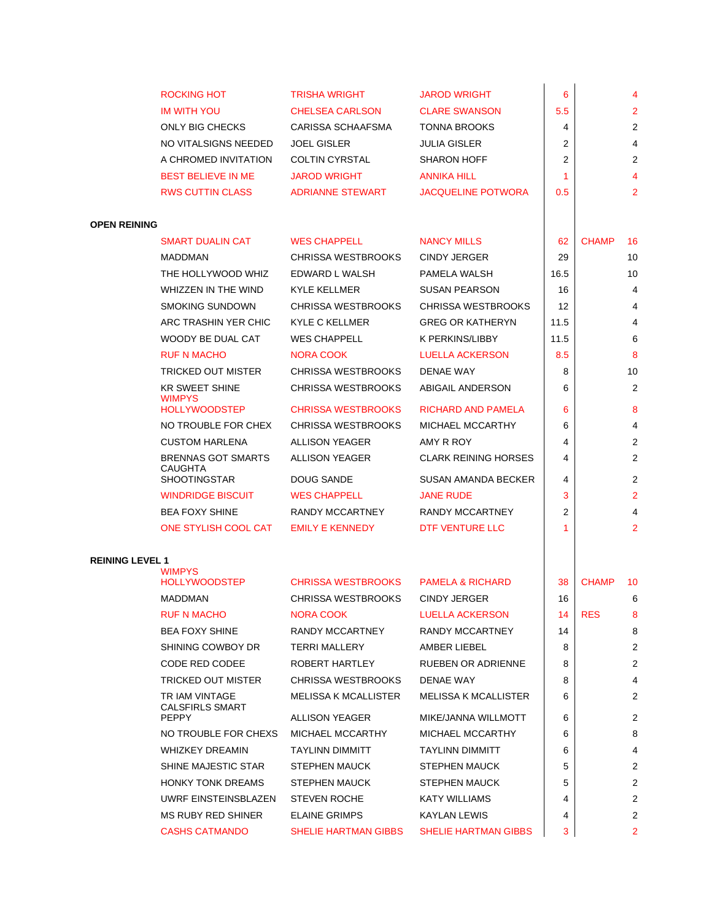|                        | ROCKING HOT                            | <b>TRISHA WRIGHT</b>                                   | <b>JAROD WRIGHT</b>                                | 6              |              | 4              |
|------------------------|----------------------------------------|--------------------------------------------------------|----------------------------------------------------|----------------|--------------|----------------|
|                        | <b>IM WITH YOU</b>                     | <b>CHELSEA CARLSON</b>                                 | <b>CLARE SWANSON</b>                               | 5.5            |              | $\overline{2}$ |
|                        | ONLY BIG CHECKS                        | CARISSA SCHAAFSMA                                      | <b>TONNA BROOKS</b>                                | 4              |              | 2              |
|                        | NO VITALSIGNS NEEDED                   | <b>JOEL GISLER</b>                                     | <b>JULIA GISLER</b>                                | 2              |              | 4              |
|                        | A CHROMED INVITATION                   | <b>COLTIN CYRSTAL</b>                                  | <b>SHARON HOFF</b>                                 | 2              |              | 2              |
|                        | <b>BEST BELIEVE IN ME</b>              | <b>JAROD WRIGHT</b>                                    | <b>ANNIKA HILL</b>                                 | 1              |              | 4              |
|                        | <b>RWS CUTTIN CLASS</b>                | <b>ADRIANNE STEWART</b>                                | <b>JACQUELINE POTWORA</b>                          | 0.5            |              | $\overline{2}$ |
|                        |                                        |                                                        |                                                    |                |              |                |
| <b>OPEN REINING</b>    |                                        |                                                        |                                                    |                |              |                |
|                        | <b>SMART DUALIN CAT</b>                | <b>WES CHAPPELL</b>                                    | <b>NANCY MILLS</b>                                 | 62             | <b>CHAMP</b> | 16             |
|                        | <b>MADDMAN</b>                         | <b>CHRISSA WESTBROOKS</b>                              | <b>CINDY JERGER</b>                                | 29             |              | 10             |
|                        | THE HOLLYWOOD WHIZ                     | EDWARD L WALSH                                         | PAMELA WALSH                                       | 16.5           |              | 10             |
|                        | <b>WHIZZEN IN THE WIND</b>             | <b>KYLE KELLMER</b>                                    | <b>SUSAN PEARSON</b>                               | 16             |              | 4              |
|                        | <b>SMOKING SUNDOWN</b>                 | <b>CHRISSA WESTBROOKS</b>                              | <b>CHRISSA WESTBROOKS</b>                          | 12             |              | 4              |
|                        | ARC TRASHIN YER CHIC                   | <b>KYLE C KELLMER</b>                                  | <b>GREG OR KATHERYN</b>                            | 11.5           |              | 4              |
|                        | WOODY BE DUAL CAT                      | <b>WES CHAPPELL</b>                                    | K PERKINS/LIBBY                                    | 11.5           |              | 6              |
|                        | <b>RUF N MACHO</b>                     | NORA COOK                                              | <b>LUELLA ACKERSON</b>                             | 8.5            |              | 8              |
|                        | <b>TRICKED OUT MISTER</b>              | <b>CHRISSA WESTBROOKS</b>                              | <b>DENAE WAY</b>                                   | 8              |              | 10             |
|                        | <b>KR SWEET SHINE</b>                  | <b>CHRISSA WESTBROOKS</b>                              | ABIGAIL ANDERSON                                   | 6              |              | $\overline{2}$ |
|                        | <b>WIMPYS</b><br><b>HOLLYWOODSTEP</b>  | <b>CHRISSA WESTBROOKS</b>                              | RICHARD AND PAMELA                                 | 6              |              | 8              |
|                        | NO TROUBLE FOR CHEX                    | <b>CHRISSA WESTBROOKS</b>                              | <b>MICHAEL MCCARTHY</b>                            | 6              |              | 4              |
|                        | <b>CUSTOM HARLENA</b>                  | <b>ALLISON YEAGER</b>                                  | AMY R ROY                                          | 4              |              | $\overline{2}$ |
|                        | <b>BRENNAS GOT SMARTS</b>              | <b>ALLISON YEAGER</b>                                  | <b>CLARK REINING HORSES</b>                        | 4              |              | $\overline{2}$ |
|                        | <b>CAUGHTA</b><br><b>SHOOTINGSTAR</b>  | DOUG SANDE                                             | SUSAN AMANDA BECKER                                | 4              |              | 2              |
|                        | <b>WINDRIDGE BISCUIT</b>               | <b>WES CHAPPELL</b>                                    | <b>JANE RUDE</b>                                   | 3              |              | $\overline{2}$ |
|                        | <b>BEA FOXY SHINE</b>                  | RANDY MCCARTNEY                                        | RANDY MCCARTNEY                                    | $\overline{2}$ |              | $\overline{4}$ |
|                        | ONE STYLISH COOL CAT                   | <b>EMILY E KENNEDY</b>                                 | DTF VENTURE LLC                                    | 1              |              | $\overline{2}$ |
|                        |                                        |                                                        |                                                    |                |              |                |
| <b>REINING LEVEL 1</b> |                                        |                                                        |                                                    |                |              |                |
|                        | <b>WIMPYS</b>                          |                                                        |                                                    |                |              |                |
|                        | <b>HOLLYWOODSTEP</b><br><b>MADDMAN</b> | <b>CHRISSA WESTBROOKS</b><br><b>CHRISSA WESTBROOKS</b> | <b>PAMELA &amp; RICHARD</b><br><b>CINDY JERGER</b> | 38<br>16       | <b>CHAMP</b> | 10             |
|                        | <b>RUF N MACHO</b>                     |                                                        | <b>LUELLA ACKERSON</b>                             | 14             | <b>RES</b>   | 6<br>8         |
|                        | <b>BEA FOXY SHINE</b>                  | NORA COOK<br>RANDY MCCARTNEY                           | RANDY MCCARTNEY                                    | 14             |              | 8              |
|                        | SHINING COWBOY DR                      | <b>TERRI MALLERY</b>                                   | AMBER LIEBEL                                       | 8              |              | 2              |
|                        | CODE RED CODEE                         | ROBERT HARTLEY                                         | <b>RUEBEN OR ADRIENNE</b>                          | 8              |              | 2              |
|                        | TRICKED OUT MISTER                     | <b>CHRISSA WESTBROOKS</b>                              | DENAE WAY                                          | 8              |              | 4              |
|                        | TR IAM VINTAGE                         | <b>MELISSA K MCALLISTER</b>                            | <b>MELISSA K MCALLISTER</b>                        | 6              |              | 2              |
|                        | <b>CALSFIRLS SMART</b>                 |                                                        |                                                    |                |              |                |
|                        | <b>PEPPY</b>                           | <b>ALLISON YEAGER</b>                                  | MIKE/JANNA WILLMOTT                                | 6              |              | $\overline{2}$ |
|                        | NO TROUBLE FOR CHEXS                   | MICHAEL MCCARTHY                                       | MICHAEL MCCARTHY                                   | 6              |              | 8              |
|                        | <b>WHIZKEY DREAMIN</b>                 | <b>TAYLINN DIMMITT</b>                                 | <b>TAYLINN DIMMITT</b>                             | 6              |              | 4              |
|                        | SHINE MAJESTIC STAR                    | <b>STEPHEN MAUCK</b>                                   | <b>STEPHEN MAUCK</b>                               | 5              |              | 2              |
|                        | <b>HONKY TONK DREAMS</b>               | <b>STEPHEN MAUCK</b>                                   | <b>STEPHEN MAUCK</b>                               | 5              |              | 2              |
|                        | UWRF EINSTEINSBLAZEN                   | <b>STEVEN ROCHE</b>                                    | <b>KATY WILLIAMS</b>                               | 4              |              | 2              |
|                        | <b>MS RUBY RED SHINER</b>              | <b>ELAINE GRIMPS</b>                                   | <b>KAYLAN LEWIS</b>                                | 4              |              | 2              |
|                        | <b>CASHS CATMANDO</b>                  | SHELIE HARTMAN GIBBS                                   | SHELIE HARTMAN GIBBS                               | 3              |              | $\overline{2}$ |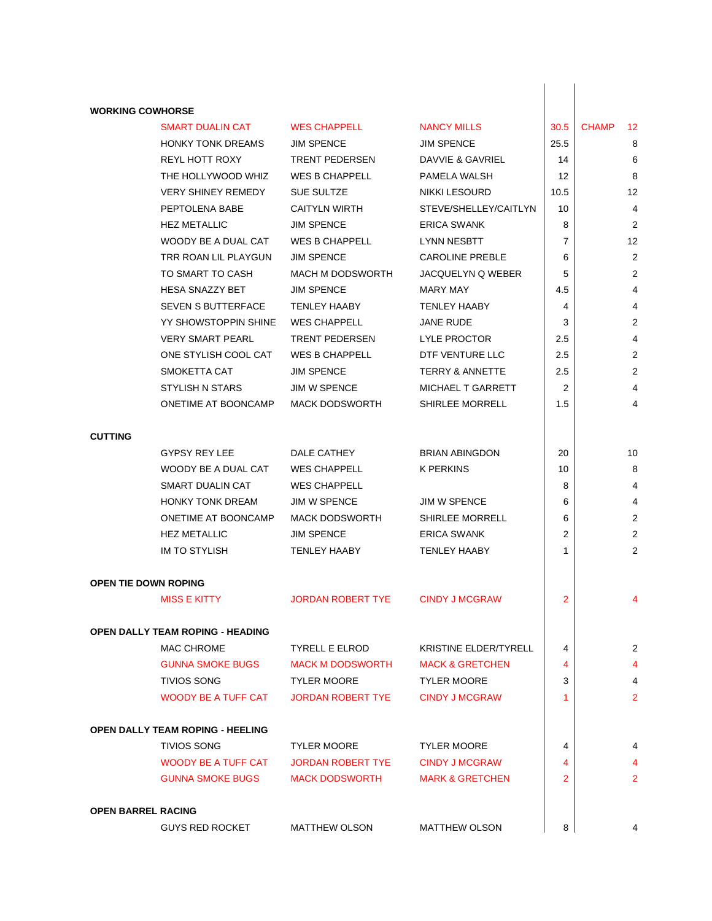| <b>WORKING COWHORSE</b>   |                                         |                          |                            |      |                    |
|---------------------------|-----------------------------------------|--------------------------|----------------------------|------|--------------------|
|                           | <b>SMART DUALIN CAT</b>                 | <b>WES CHAPPELL</b>      | <b>NANCY MILLS</b>         | 30.5 | <b>CHAMP</b><br>12 |
|                           | <b>HONKY TONK DREAMS</b>                | <b>JIM SPENCE</b>        | <b>JIM SPENCE</b>          | 25.5 | 8                  |
|                           | <b>REYL HOTT ROXY</b>                   | <b>TRENT PEDERSEN</b>    | DAVVIE & GAVRIEL           | 14   | 6                  |
|                           | THE HOLLYWOOD WHIZ                      | <b>WES B CHAPPELL</b>    | PAMELA WALSH               | 12   | 8                  |
|                           | <b>VERY SHINEY REMEDY</b>               | SUE SULTZE               | <b>NIKKI LESOURD</b>       | 10.5 | 12                 |
|                           | PEPTOLENA BABE                          | <b>CAITYLN WIRTH</b>     | STEVE/SHELLEY/CAITLYN      | 10   | 4                  |
|                           | <b>HEZ METALLIC</b>                     | <b>JIM SPENCE</b>        | <b>ERICA SWANK</b>         | 8    | $\overline{2}$     |
|                           | WOODY BE A DUAL CAT                     | <b>WES B CHAPPELL</b>    | LYNN NESBTT                | 7    | 12                 |
|                           | TRR ROAN LIL PLAYGUN                    | <b>JIM SPENCE</b>        | <b>CAROLINE PREBLE</b>     | 6    | 2                  |
|                           | TO SMART TO CASH                        | <b>MACH M DODSWORTH</b>  | JACQUELYN Q WEBER          | 5    | 2                  |
|                           | HESA SNAZZY BET                         | <b>JIM SPENCE</b>        | MARY MAY                   | 4.5  | 4                  |
|                           | SEVEN S BUTTERFACE                      | <b>TENLEY HAABY</b>      | <b>TENLEY HAABY</b>        | 4    | 4                  |
|                           | YY SHOWSTOPPIN SHINE                    | <b>WES CHAPPELL</b>      | <b>JANE RUDE</b>           | 3    | $\overline{2}$     |
|                           | <b>VERY SMART PEARL</b>                 | <b>TRENT PEDERSEN</b>    | LYLE PROCTOR               | 2.5  | 4                  |
|                           | ONE STYLISH COOL CAT                    | <b>WES B CHAPPELL</b>    | DTF VENTURE LLC            | 2.5  | 2                  |
|                           | SMOKETTA CAT                            | <b>JIM SPENCE</b>        | <b>TERRY &amp; ANNETTE</b> | 2.5  | $\overline{2}$     |
|                           | STYLISH N STARS                         | <b>JIM W SPENCE</b>      | MICHAEL T GARRETT          | 2    | 4                  |
|                           | ONETIME AT BOONCAMP                     | <b>MACK DODSWORTH</b>    | <b>SHIRLEE MORRELL</b>     | 1.5  | 4                  |
| <b>CUTTING</b>            |                                         |                          |                            |      |                    |
|                           | GYPSY REY LEE                           | DALE CATHEY              | <b>BRIAN ABINGDON</b>      | 20   | 10                 |
|                           | WOODY BE A DUAL CAT                     | <b>WES CHAPPELL</b>      | K PERKINS                  | 10   | 8                  |
|                           | SMART DUALIN CAT                        | <b>WES CHAPPELL</b>      |                            | 8    | 4                  |
|                           | <b>HONKY TONK DREAM</b>                 | <b>JIM W SPENCE</b>      | <b>JIM W SPENCE</b>        | 6    | 4                  |
|                           | ONETIME AT BOONCAMP                     | <b>MACK DODSWORTH</b>    | <b>SHIRLEE MORRELL</b>     | 6    | $\overline{2}$     |
|                           | <b>HEZ METALLIC</b>                     | <b>JIM SPENCE</b>        | <b>ERICA SWANK</b>         | 2    | 2                  |
|                           | <b>IM TO STYLISH</b>                    | TENLEY HAABY             | <b>TENLEY HAABY</b>        | 1    | 2                  |
| OPEN TIE DOWN ROPING      |                                         |                          |                            |      |                    |
|                           | <b>MISS E KITTY</b>                     | JORDAN ROBERT TYE        | <b>CINDY J MCGRAW</b>      | 2    |                    |
|                           | <b>OPEN DALLY TEAM ROPING - HEADING</b> |                          |                            |      |                    |
|                           | MAC CHROME                              | <b>TYRELL E ELROD</b>    | KRISTINE ELDER/TYRELL      | 4    | $\overline{2}$     |
|                           | <b>GUNNA SMOKE BUGS</b>                 | <b>MACK M DODSWORTH</b>  | <b>MACK &amp; GRETCHEN</b> | 4    | 4                  |
|                           | <b>TIVIOS SONG</b>                      | <b>TYLER MOORE</b>       | <b>TYLER MOORE</b>         | 3    | 4                  |
|                           | <b>WOODY BE A TUFF CAT</b>              | <b>JORDAN ROBERT TYE</b> | <b>CINDY J MCGRAW</b>      | 1    | $\overline{2}$     |
|                           | <b>OPEN DALLY TEAM ROPING - HEELING</b> |                          |                            |      |                    |
|                           | <b>TIVIOS SONG</b>                      | <b>TYLER MOORE</b>       | <b>TYLER MOORE</b>         | 4    | 4                  |
|                           | <b>WOODY BE A TUFF CAT</b>              | <b>JORDAN ROBERT TYE</b> | <b>CINDY J MCGRAW</b>      | 4    |                    |
|                           | <b>GUNNA SMOKE BUGS</b>                 | <b>MACK DODSWORTH</b>    | <b>MARK &amp; GRETCHEN</b> | 2    | $\overline{2}$     |
| <b>OPEN BARREL RACING</b> |                                         |                          |                            |      |                    |
|                           | <b>GUYS RED ROCKET</b>                  | <b>MATTHEW OLSON</b>     | <b>MATTHEW OLSON</b>       | 8    | 4                  |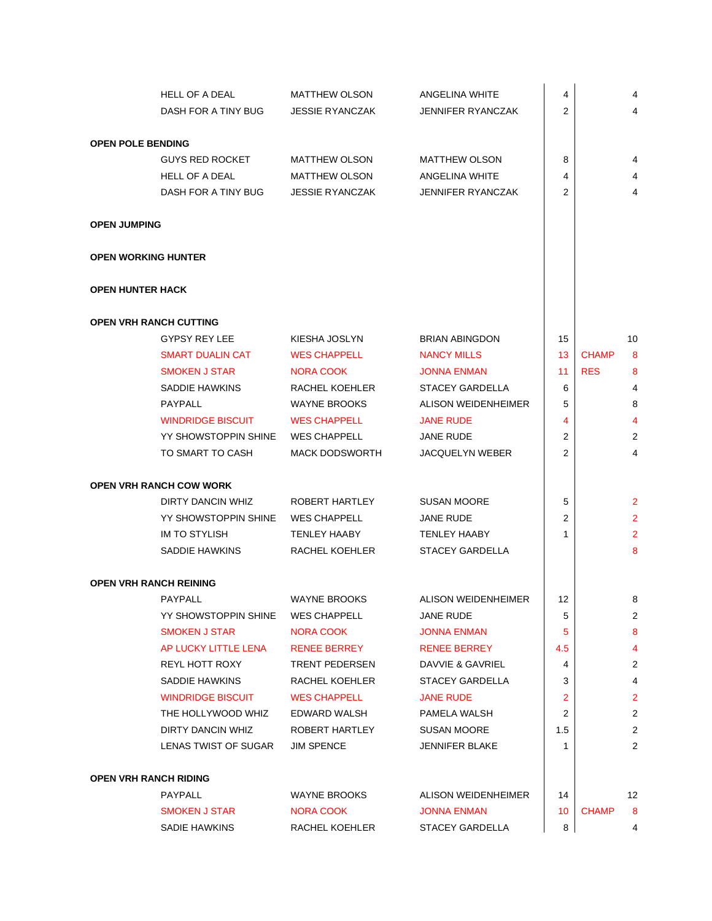|                              | HELL OF A DEAL                 | <b>MATTHEW OLSON</b>   | ANGELINA WHITE           | 4               |              | 4              |
|------------------------------|--------------------------------|------------------------|--------------------------|-----------------|--------------|----------------|
|                              | DASH FOR A TINY BUG            | <b>JESSIE RYANCZAK</b> | <b>JENNIFER RYANCZAK</b> | 2               |              | $\overline{4}$ |
|                              |                                |                        |                          |                 |              |                |
| <b>OPEN POLE BENDING</b>     |                                |                        |                          |                 |              |                |
|                              | <b>GUYS RED ROCKET</b>         | <b>MATTHEW OLSON</b>   | <b>MATTHEW OLSON</b>     | 8               |              | 4              |
|                              | <b>HELL OF A DEAL</b>          | <b>MATTHEW OLSON</b>   | ANGELINA WHITE           | 4               |              | 4              |
|                              | DASH FOR A TINY BUG            | <b>JESSIE RYANCZAK</b> | <b>JENNIFER RYANCZAK</b> | 2               |              | $\overline{4}$ |
| <b>OPEN JUMPING</b>          |                                |                        |                          |                 |              |                |
| <b>OPEN WORKING HUNTER</b>   |                                |                        |                          |                 |              |                |
| <b>OPEN HUNTER HACK</b>      |                                |                        |                          |                 |              |                |
|                              | <b>OPEN VRH RANCH CUTTING</b>  |                        |                          |                 |              |                |
|                              | GYPSY REY LEE                  | KIESHA JOSLYN          | <b>BRIAN ABINGDON</b>    | 15              |              | 10             |
|                              | <b>SMART DUALIN CAT</b>        | <b>WES CHAPPELL</b>    | <b>NANCY MILLS</b>       | 13 <sup>°</sup> | <b>CHAMP</b> | 8              |
|                              | <b>SMOKEN J STAR</b>           | <b>NORA COOK</b>       | <b>JONNA ENMAN</b>       | 11              | <b>RES</b>   | 8              |
|                              | SADDIE HAWKINS                 | RACHEL KOEHLER         | <b>STACEY GARDELLA</b>   | 6               |              | 4              |
|                              | <b>PAYPALL</b>                 | <b>WAYNE BROOKS</b>    | ALISON WEIDENHEIMER      | 5               |              | 8              |
|                              | <b>WINDRIDGE BISCUIT</b>       | <b>WES CHAPPELL</b>    | <b>JANE RUDE</b>         | 4               |              | 4              |
|                              | YY SHOWSTOPPIN SHINE           | <b>WES CHAPPELL</b>    | JANE RUDE                | 2               |              | $\overline{2}$ |
|                              | TO SMART TO CASH               | <b>MACK DODSWORTH</b>  | <b>JACQUELYN WEBER</b>   | $\overline{2}$  |              | $\overline{4}$ |
|                              | <b>OPEN VRH RANCH COW WORK</b> |                        |                          |                 |              |                |
|                              | DIRTY DANCIN WHIZ              | ROBERT HARTLEY         | <b>SUSAN MOORE</b>       | 5               |              | $\overline{2}$ |
|                              | YY SHOWSTOPPIN SHINE           | <b>WES CHAPPELL</b>    | <b>JANE RUDE</b>         | 2               |              | $\overline{2}$ |
|                              | <b>IM TO STYLISH</b>           | <b>TENLEY HAABY</b>    | <b>TENLEY HAABY</b>      | 1               |              | $\overline{2}$ |
|                              | SADDIE HAWKINS                 | RACHEL KOEHLER         | <b>STACEY GARDELLA</b>   |                 |              | 8              |
|                              | <b>OPEN VRH RANCH REINING</b>  |                        |                          |                 |              |                |
|                              | PAYPALL                        | <b>WAYNE BROOKS</b>    | ALISON WEIDENHEIMER      | 12              |              | 8              |
|                              | YY SHOWSTOPPIN SHINE           | <b>WES CHAPPELL</b>    | <b>JANE RUDE</b>         | 5               |              | 2              |
|                              | <b>SMOKEN J STAR</b>           | NORA COOK              | <b>JONNA ENMAN</b>       | 5               |              | 8              |
|                              | AP LUCKY LITTLE LENA           | <b>RENEE BERREY</b>    | <b>RENEE BERREY</b>      | 4.5             |              | 4              |
|                              | REYL HOTT ROXY                 | <b>TRENT PEDERSEN</b>  | DAVVIE & GAVRIEL         | 4               |              | 2              |
|                              | SADDIE HAWKINS                 | RACHEL KOEHLER         | STACEY GARDELLA          | 3               |              | 4              |
|                              | <b>WINDRIDGE BISCUIT</b>       | <b>WES CHAPPELL</b>    | <b>JANE RUDE</b>         | 2               |              | $\overline{2}$ |
|                              | THE HOLLYWOOD WHIZ             | EDWARD WALSH           | PAMELA WALSH             | 2               |              | $\overline{c}$ |
|                              | DIRTY DANCIN WHIZ              | ROBERT HARTLEY         | <b>SUSAN MOORE</b>       | 1.5             |              | 2              |
|                              | LENAS TWIST OF SUGAR           | <b>JIM SPENCE</b>      | <b>JENNIFER BLAKE</b>    | 1               |              | 2              |
| <b>OPEN VRH RANCH RIDING</b> |                                |                        |                          |                 |              |                |
|                              | <b>PAYPALL</b>                 | <b>WAYNE BROOKS</b>    | ALISON WEIDENHEIMER      | 14              |              | 12             |
|                              | <b>SMOKEN J STAR</b>           | NORA COOK              | <b>JONNA ENMAN</b>       | 10              | <b>CHAMP</b> | 8              |
|                              | SADIE HAWKINS                  | RACHEL KOEHLER         | <b>STACEY GARDELLA</b>   | 8               |              | 4              |